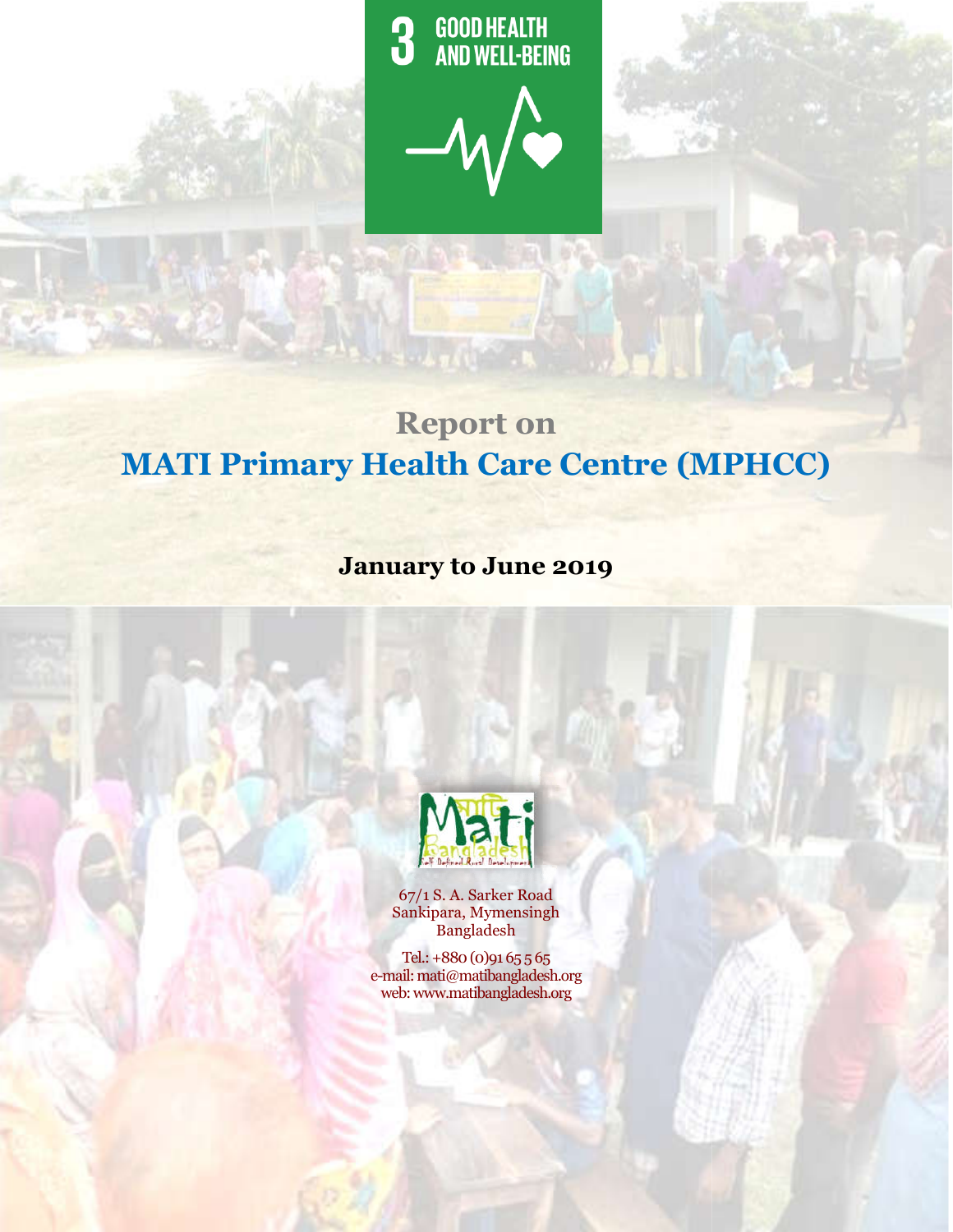**GOOD HEALTH<br>AND WELL-BEING** 3

MPHCC Report : January-June 2019



# **MATI Primary Health Care Centre (MPHCC MPHCC)Report on**

# **January to June 2019**



67/1 S. A. Sarker Road Sankipara, Mymensingh Bangladesh

Tel.: +880 (0)91 65 5 65 e-mail: mati@matibangladesh.org web: www.matibangladesh.org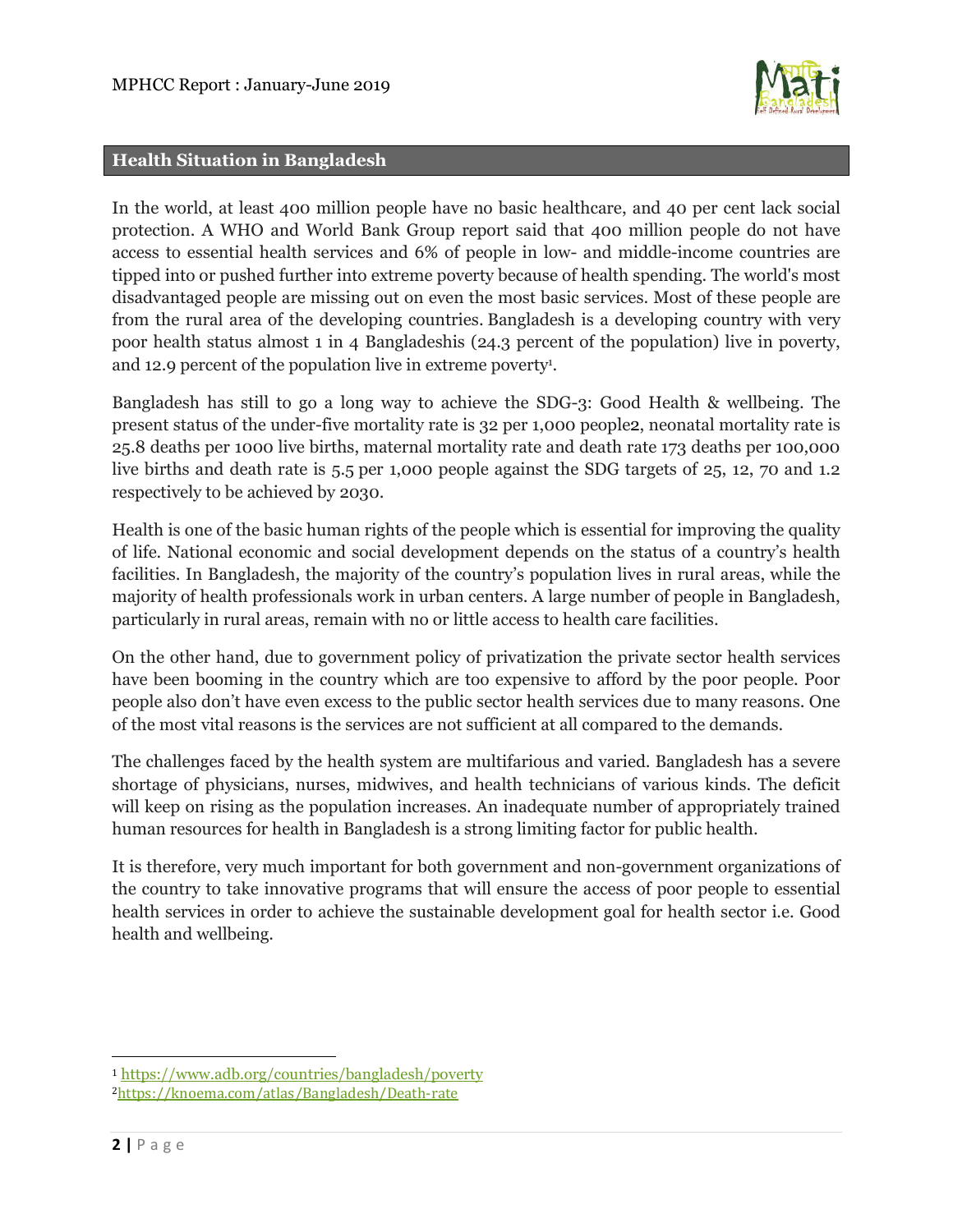

#### **Health Situation in Bangladesh**

In the world, at least 400 million people have no basic healthcare, and 40 per cent lack social protection. A WHO and World Bank Group report said that 400 million people do not have access to essential health services and 6% of people in low- and middle-income countries are tipped into or pushed further into extreme poverty because of health spending. The world's most disadvantaged people are missing out on even the most basic services. Most of these people are from the rural area of the developing countries. Bangladesh is a developing country with very poor health status almost 1 in 4 Bangladeshis (24.3 percent of the population) live in poverty, and 12.9 percent of the population live in extreme poverty<sup>1</sup>.

Bangladesh has still to go a long way to achieve the SDG-3: Good Health & wellbeing. The present status of the under-five mortality rate is 32 per 1,000 people2, neonatal mortality rate is 25.8 deaths per 1000 live births, maternal mortality rate and death rate 173 deaths per 100,000 live births and death rate is 5.5 per 1,000 people against the SDG targets of 25, 12, 70 and 1.2 respectively to be achieved by 2030.

Health is one of the basic human rights of the people which is essential for improving the quality of life. National economic and social development depends on the status of a country's health facilities. In Bangladesh, the majority of the country's population lives in rural areas, while the majority of health professionals work in urban centers. A large number of people in Bangladesh, particularly in rural areas, remain with no or little access to health care facilities.

On the other hand, due to government policy of privatization the private sector health services have been booming in the country which are too expensive to afford by the poor people. Poor people also don't have even excess to the public sector health services due to many reasons. One of the most vital reasons is the services are not sufficient at all compared to the demands.

The challenges faced by the health system are multifarious and varied. Bangladesh has a severe shortage of physicians, nurses, midwives, and health technicians of various kinds. The deficit will keep on rising as the population increases. An inadequate number of appropriately trained human resources for health in Bangladesh is a strong limiting factor for public health.

It is therefore, very much important for both government and non-government organizations of the country to take innovative programs that will ensure the access of poor people to essential health services in order to achieve the sustainable development goal for health sector i.e. Good health and wellbeing.

 $\overline{a}$ 

<sup>1</sup> https://www.adb.org/countries/bangladesh/poverty 2https://knoema.com/atlas/Bangladesh/Death-rate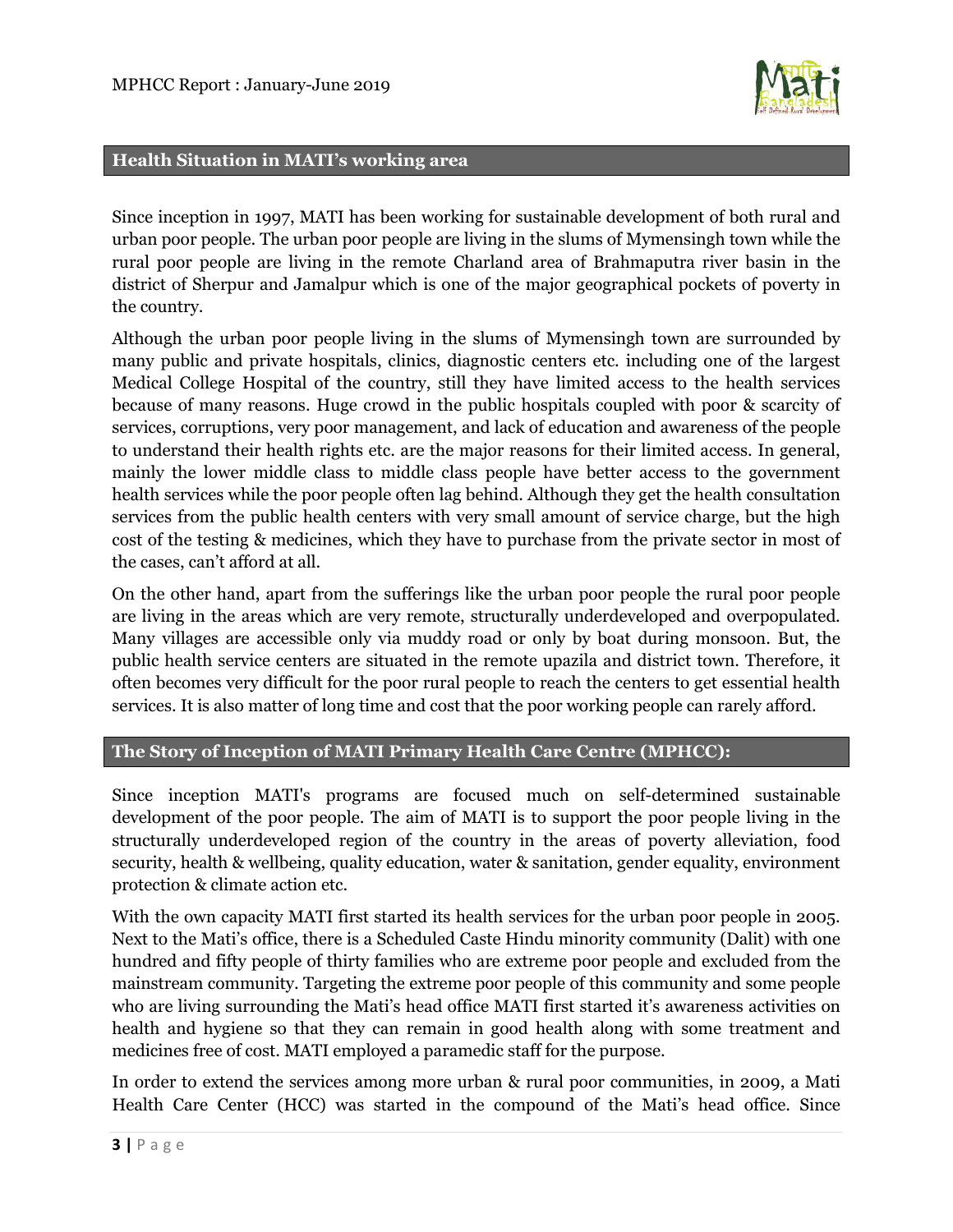

#### **Health Situation in MATI's working area**

Since inception in 1997, MATI has been working for sustainable development of both rural and urban poor people. The urban poor people are living in the slums of Mymensingh town while the rural poor people are living in the remote Charland area of Brahmaputra river basin in the district of Sherpur and Jamalpur which is one of the major geographical pockets of poverty in the country.

Although the urban poor people living in the slums of Mymensingh town are surrounded by many public and private hospitals, clinics, diagnostic centers etc. including one of the largest Medical College Hospital of the country, still they have limited access to the health services because of many reasons. Huge crowd in the public hospitals coupled with poor & scarcity of services, corruptions, very poor management, and lack of education and awareness of the people to understand their health rights etc. are the major reasons for their limited access. In general, mainly the lower middle class to middle class people have better access to the government health services while the poor people often lag behind. Although they get the health consultation services from the public health centers with very small amount of service charge, but the high cost of the testing & medicines, which they have to purchase from the private sector in most of the cases, can't afford at all.

On the other hand, apart from the sufferings like the urban poor people the rural poor people are living in the areas which are very remote, structurally underdeveloped and overpopulated. Many villages are accessible only via muddy road or only by boat during monsoon. But, the public health service centers are situated in the remote upazila and district town. Therefore, it often becomes very difficult for the poor rural people to reach the centers to get essential health services. It is also matter of long time and cost that the poor working people can rarely afford.

# **The Story of Inception of MATI Primary Health Care Centre (MPHCC):**

Since inception MATI's programs are focused much on self-determined sustainable development of the poor people. The aim of MATI is to support the poor people living in the structurally underdeveloped region of the country in the areas of poverty alleviation, food security, health & wellbeing, quality education, water & sanitation, gender equality, environment protection & climate action etc.

With the own capacity MATI first started its health services for the urban poor people in 2005. Next to the Mati's office, there is a Scheduled Caste Hindu minority community (Dalit) with one hundred and fifty people of thirty families who are extreme poor people and excluded from the mainstream community. Targeting the extreme poor people of this community and some people who are living surrounding the Mati's head office MATI first started it's awareness activities on health and hygiene so that they can remain in good health along with some treatment and medicines free of cost. MATI employed a paramedic staff for the purpose.

In order to extend the services among more urban & rural poor communities, in 2009, a Mati Health Care Center (HCC) was started in the compound of the Mati's head office. Since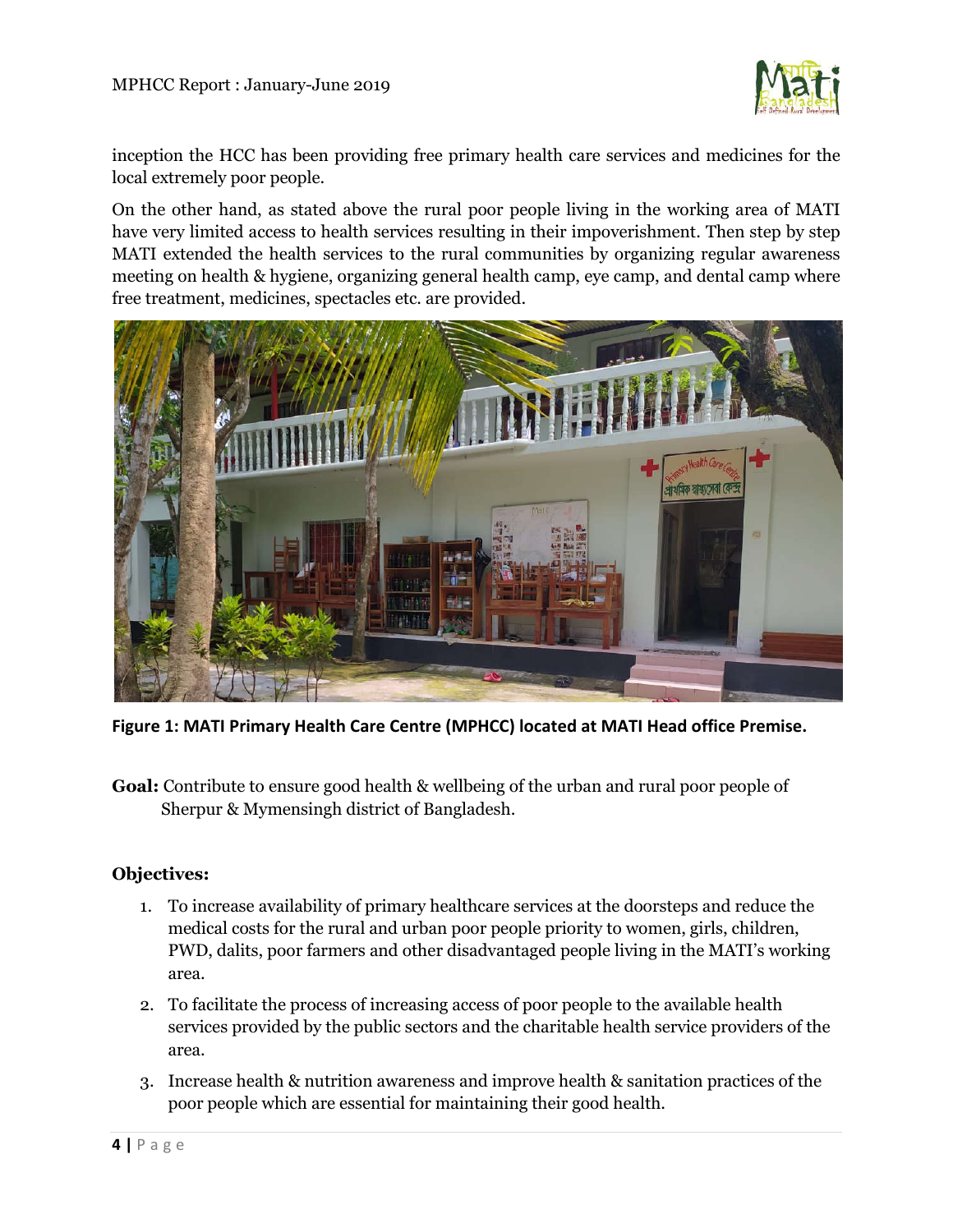

inception the HCC has been providing free primary health care services and medicines for the local extremely poor people.

On the other hand, as stated above the rural poor people living in the working area of MATI have very limited access to health services resulting in their impoverishment. Then step by step MATI extended the health services to the rural communities by organizing regular awareness meeting on health & hygiene, organizing general health camp, eye camp, and dental camp where free treatment, medicines, spectacles etc. are provided.



**Figure 1: MATI Primary Health Care Centre (MPHCC) located at MATI Head office Premise.**

**Goal:** Contribute to ensure good health & wellbeing of the urban and rural poor people of Sherpur & Mymensingh district of Bangladesh.

# **Objectives:**

- 1. To increase availability of primary healthcare services at the doorsteps and reduce the medical costs for the rural and urban poor people priority to women, girls, children, PWD, dalits, poor farmers and other disadvantaged people living in the MATI's working area.
- 2. To facilitate the process of increasing access of poor people to the available health services provided by the public sectors and the charitable health service providers of the area.
- 3. Increase health & nutrition awareness and improve health & sanitation practices of the poor people which are essential for maintaining their good health.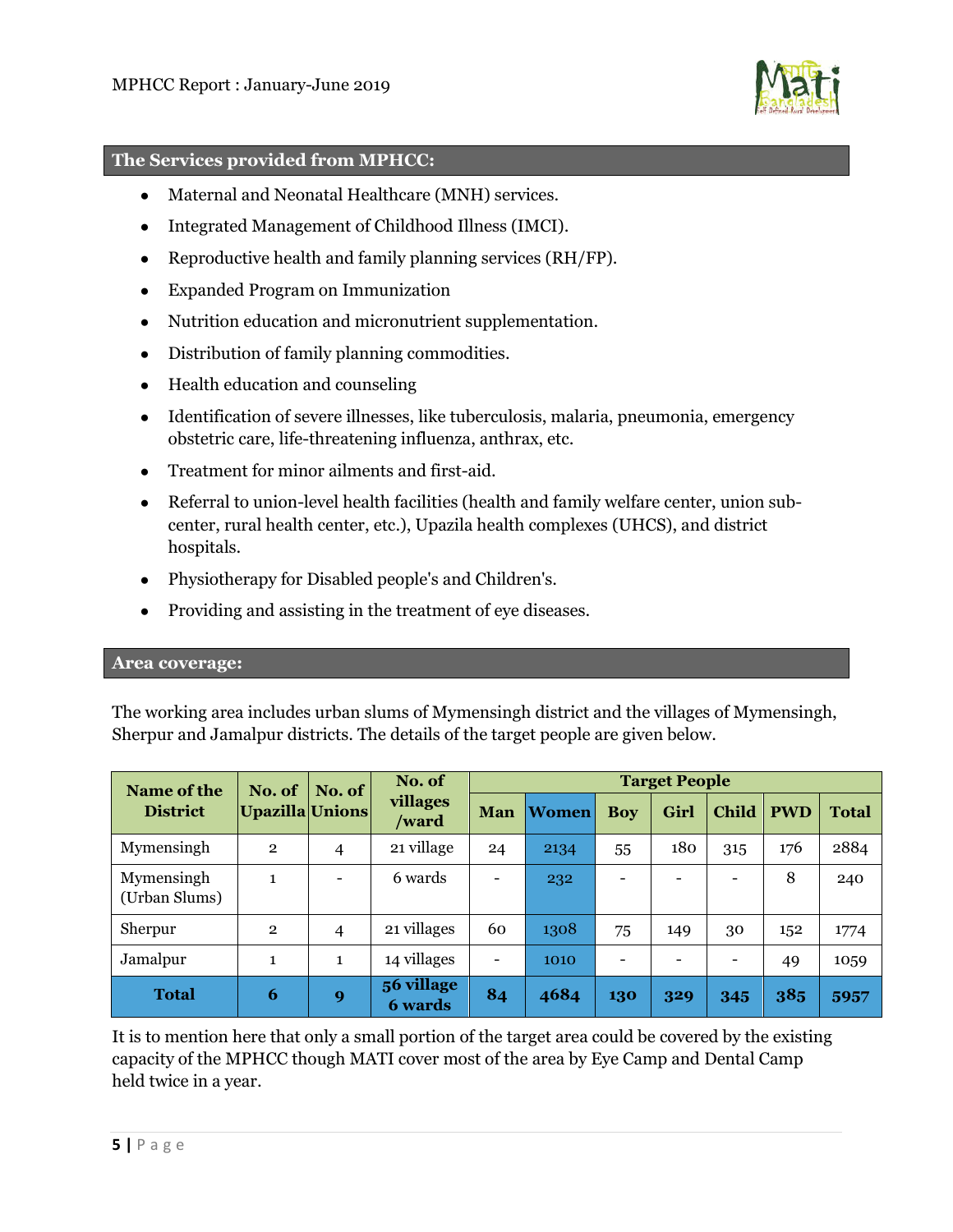

#### **The Services provided from MPHCC:**

- Maternal and Neonatal Healthcare (MNH) services.
- Integrated Management of Childhood Illness (IMCI).
- Reproductive health and family planning services (RH/FP).
- Expanded Program on Immunization
- Nutrition education and micronutrient supplementation.
- Distribution of family planning commodities.
- Health education and counseling
- Identification of severe illnesses, like tuberculosis, malaria, pneumonia, emergency obstetric care, life-threatening influenza, anthrax, etc.
- Treatment for minor ailments and first-aid.
- Referral to union-level health facilities (health and family welfare center, union subcenter, rural health center, etc.), Upazila health complexes (UHCS), and district hospitals.
- Physiotherapy for Disabled people's and Children's.
- Providing and assisting in the treatment of eye diseases.

## **Area coverage:**

The working area includes urban slums of Mymensingh district and the villages of Mymensingh, Sherpur and Jamalpur districts. The details of the target people are given below.

| Name of the                 | No. of<br>Upazilla Unions | No. of       | No. of<br>villages<br>/ward  | <b>Target People</b>     |              |                          |      |                          |            |              |
|-----------------------------|---------------------------|--------------|------------------------------|--------------------------|--------------|--------------------------|------|--------------------------|------------|--------------|
| <b>District</b>             |                           |              |                              | Man                      | <b>Women</b> | <b>Boy</b>               | Girl | <b>Child</b>             | <b>PWD</b> | <b>Total</b> |
| Mymensingh                  | $\overline{2}$            | 4            | 21 village                   | 24                       | 2134         | 55                       | 180  | 315                      | 176        | 2884         |
| Mymensingh<br>(Urban Slums) | $\mathbf{1}$              |              | 6 wards                      | $\overline{\phantom{0}}$ | 232          | $\overline{\phantom{0}}$ |      | $\overline{\phantom{0}}$ | 8          | 240          |
| Sherpur                     | $\overline{2}$            | 4            | 21 villages                  | 60                       | 1308         | 75                       | 149  | 30                       | 152        | 1774         |
| Jamalpur                    | $\mathbf{1}$              | $\mathbf{1}$ | 14 villages                  | $\qquad \qquad -$        | 1010         | $\overline{\phantom{0}}$ |      |                          | 49         | 1059         |
| <b>Total</b>                | 6                         | 9            | 56 village<br><b>6</b> wards | 84                       | 4684         | 130                      | 329  | 345                      | 385        | 5957         |

It is to mention here that only a small portion of the target area could be covered by the existing capacity of the MPHCC though MATI cover most of the area by Eye Camp and Dental Camp held twice in a year.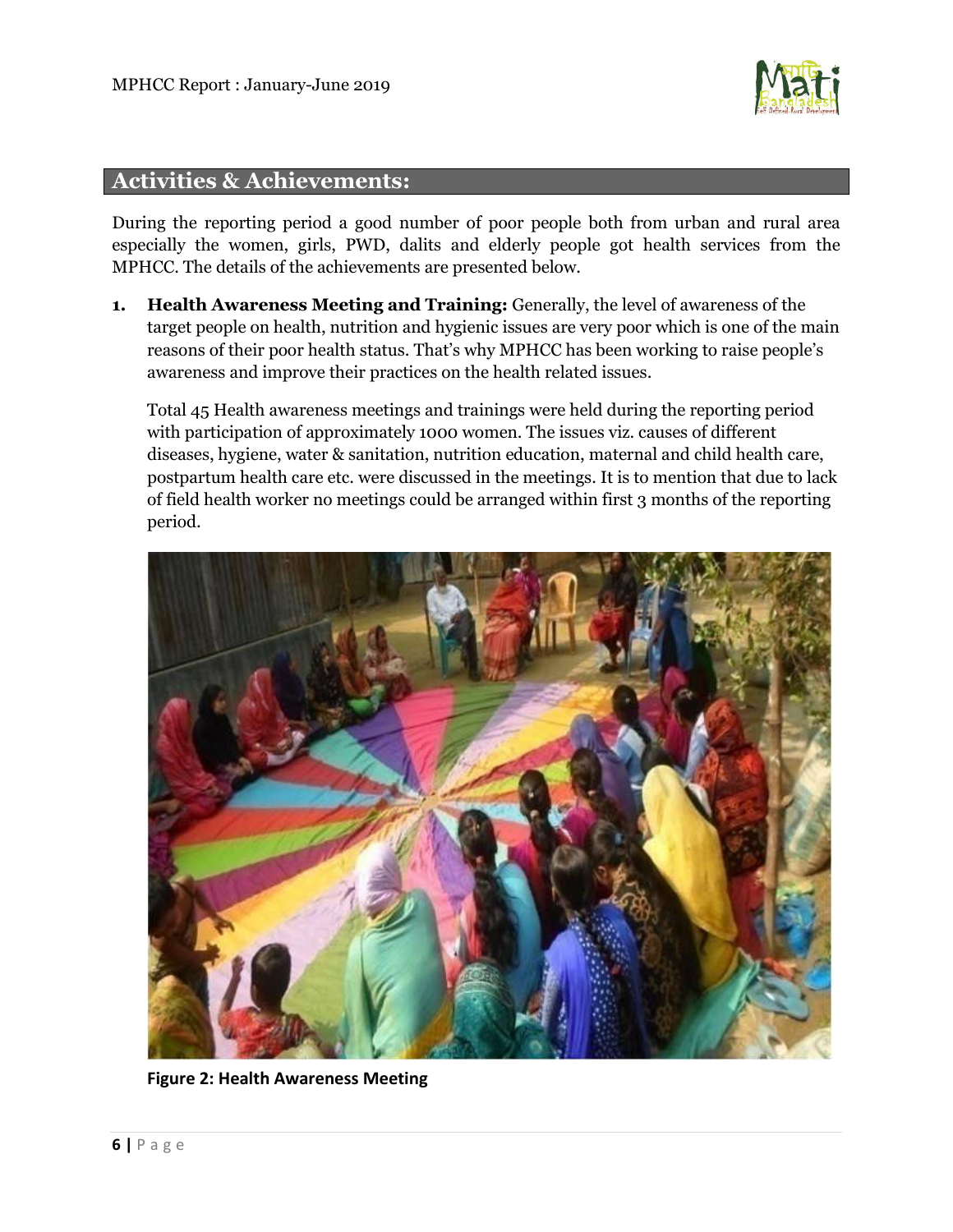

# **Activities & Achievements:**

During the reporting period a good number of poor people both from urban and rural area especially the women, girls, PWD, dalits and elderly people got health services from the MPHCC. The details of the achievements are presented below.

**1. Health Awareness Meeting and Training:** Generally, the level of awareness of the target people on health, nutrition and hygienic issues are very poor which is one of the main reasons of their poor health status. That's why MPHCC has been working to raise people's awareness and improve their practices on the health related issues.

Total 45 Health awareness meetings and trainings were held during the reporting period with participation of approximately 1000 women. The issues viz. causes of different diseases, hygiene, water & sanitation, nutrition education, maternal and child health care, postpartum health care etc. were discussed in the meetings. It is to mention that due to lack of field health worker no meetings could be arranged within first 3 months of the reporting period.



**Figure 2: Health Awareness Meeting**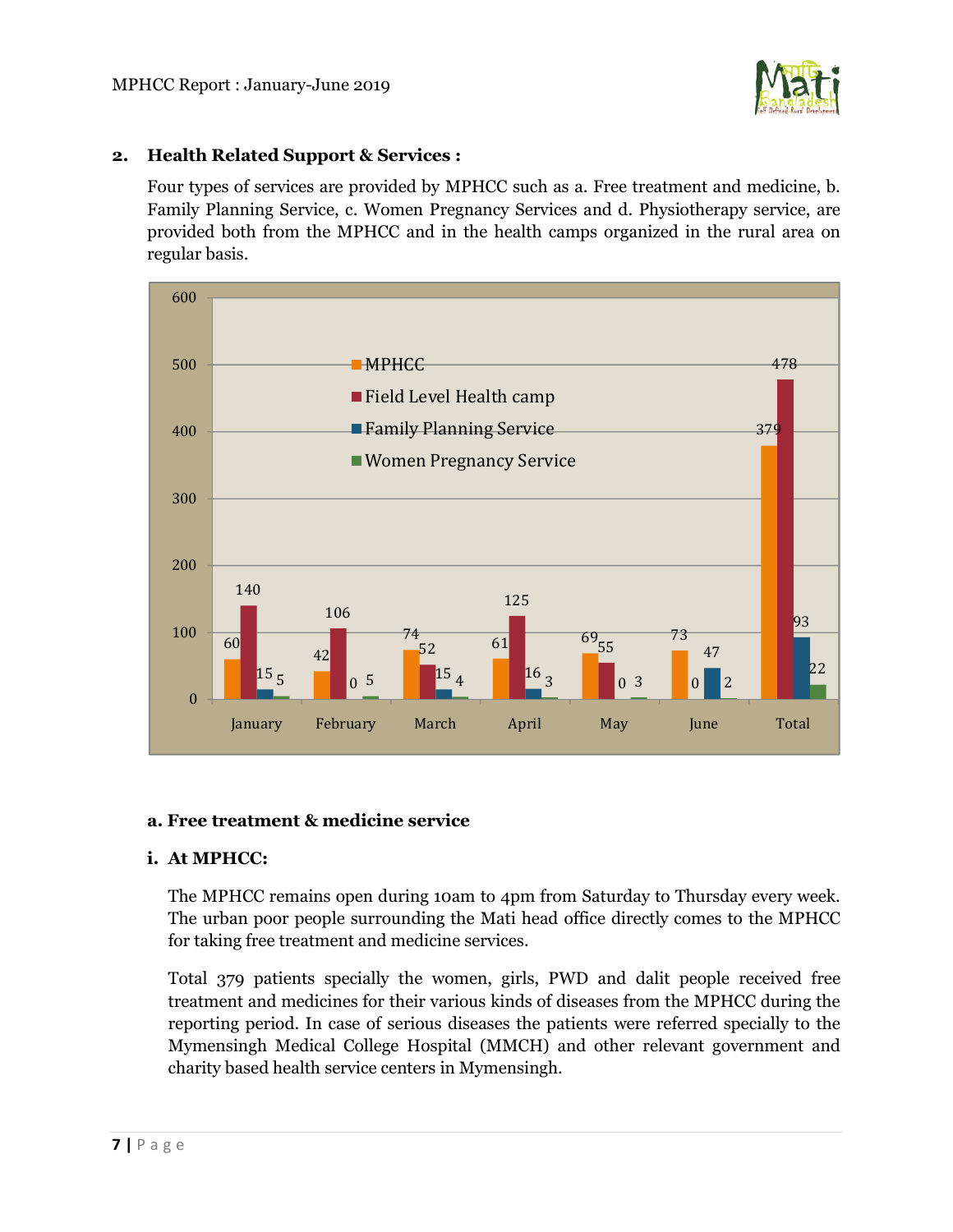# **2. Health Related Support & Services :**

Four types of services are provided by MPHCC such as a. Free treatment and medicine, b. Family Planning Service, c. Women Pregnancy Services and d. Physiotherapy service, are provided both from the MPHCC and in the health camps organized in the rural area on regular basis.



## **a. Free treatment & medicine service**

# **i. At MPHCC:**

The MPHCC remains open during 10am to 4pm from Saturday to Thursday every week. The urban poor people surrounding the Mati head office directly comes to the MPHCC for taking free treatment and medicine services.

Total 379 patients specially the women, girls, PWD and dalit people received free treatment and medicines for their various kinds of diseases from the MPHCC during the reporting period. In case of serious diseases the patients were referred specially to the Mymensingh Medical College Hospital (MMCH) and other relevant government and charity based health service centers in Mymensingh.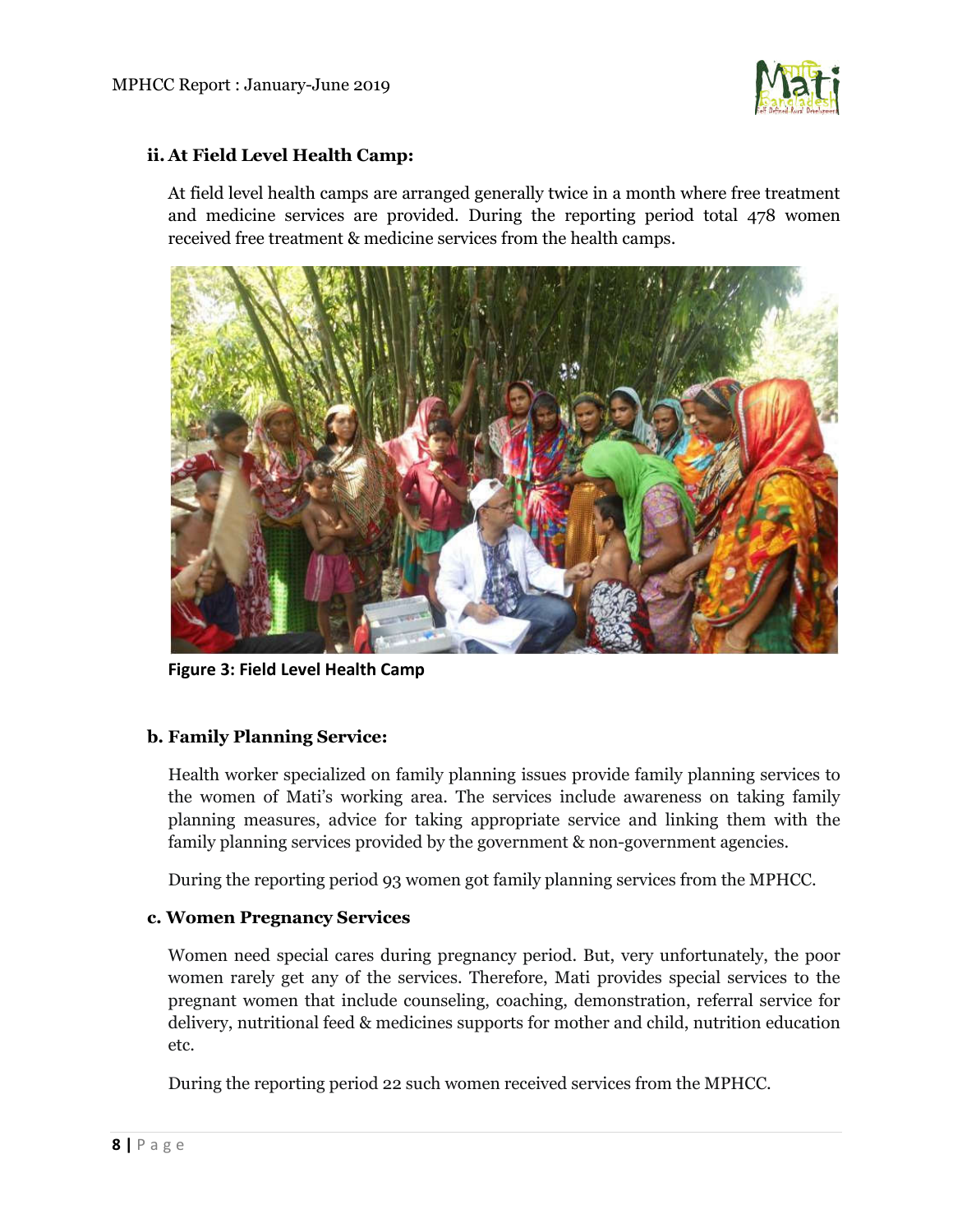

# **ii. At Field Level Health Camp:**

At field level health camps are arranged generally twice in a month where free treatment and medicine services are provided. During the reporting period total 478 women received free treatment & medicine services from the health camps.



**Figure 3: Field Level Health Camp**

# **b. Family Planning Service:**

Health worker specialized on family planning issues provide family planning services to the women of Mati's working area. The services include awareness on taking family planning measures, advice for taking appropriate service and linking them with the family planning services provided by the government & non-government agencies.

During the reporting period 93 women got family planning services from the MPHCC.

## **c. Women Pregnancy Services**

Women need special cares during pregnancy period. But, very unfortunately, the poor women rarely get any of the services. Therefore, Mati provides special services to the pregnant women that include counseling, coaching, demonstration, referral service for delivery, nutritional feed & medicines supports for mother and child, nutrition education etc.

During the reporting period 22 such women received services from the MPHCC.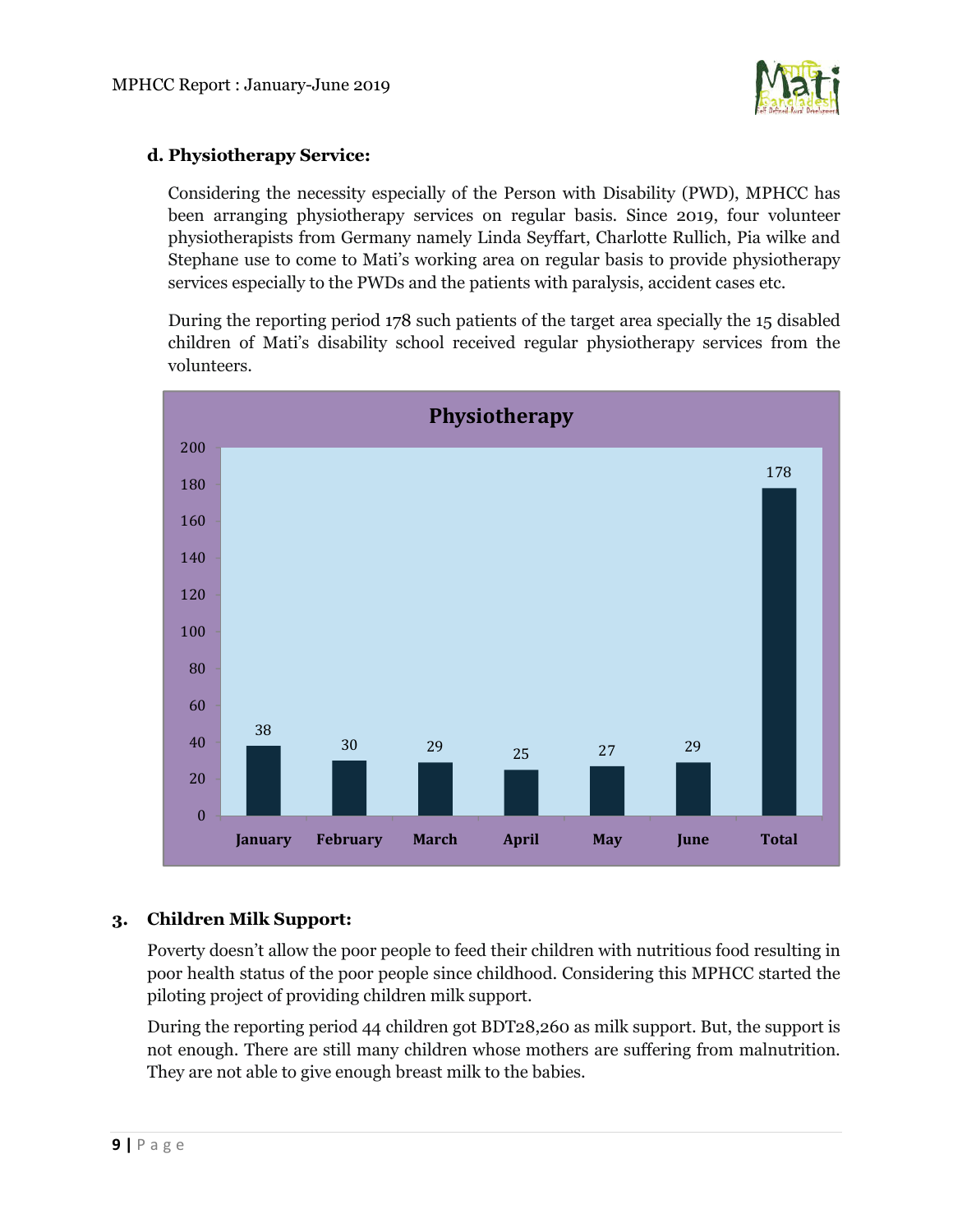

# **d. Physiotherapy Service:**

Considering the necessity especially of the Person with Disability (PWD), MPHCC has been arranging physiotherapy services on regular basis. Since 2019, four volunteer physiotherapists from Germany namely Linda Seyffart, Charlotte Rullich, Pia wilke and Stephane use to come to Mati's working area on regular basis to provide physiotherapy services especially to the PWDs and the patients with paralysis, accident cases etc.

During the reporting period 178 such patients of the target area specially the 15 disabled children of Mati's disability school received regular physiotherapy services from the volunteers.



# **3. Children Milk Support:**

Poverty doesn't allow the poor people to feed their children with nutritious food resulting in poor health status of the poor people since childhood. Considering this MPHCC started the piloting project of providing children milk support.

During the reporting period 44 children got BDT28,260 as milk support. But, the support is not enough. There are still many children whose mothers are suffering from malnutrition. They are not able to give enough breast milk to the babies.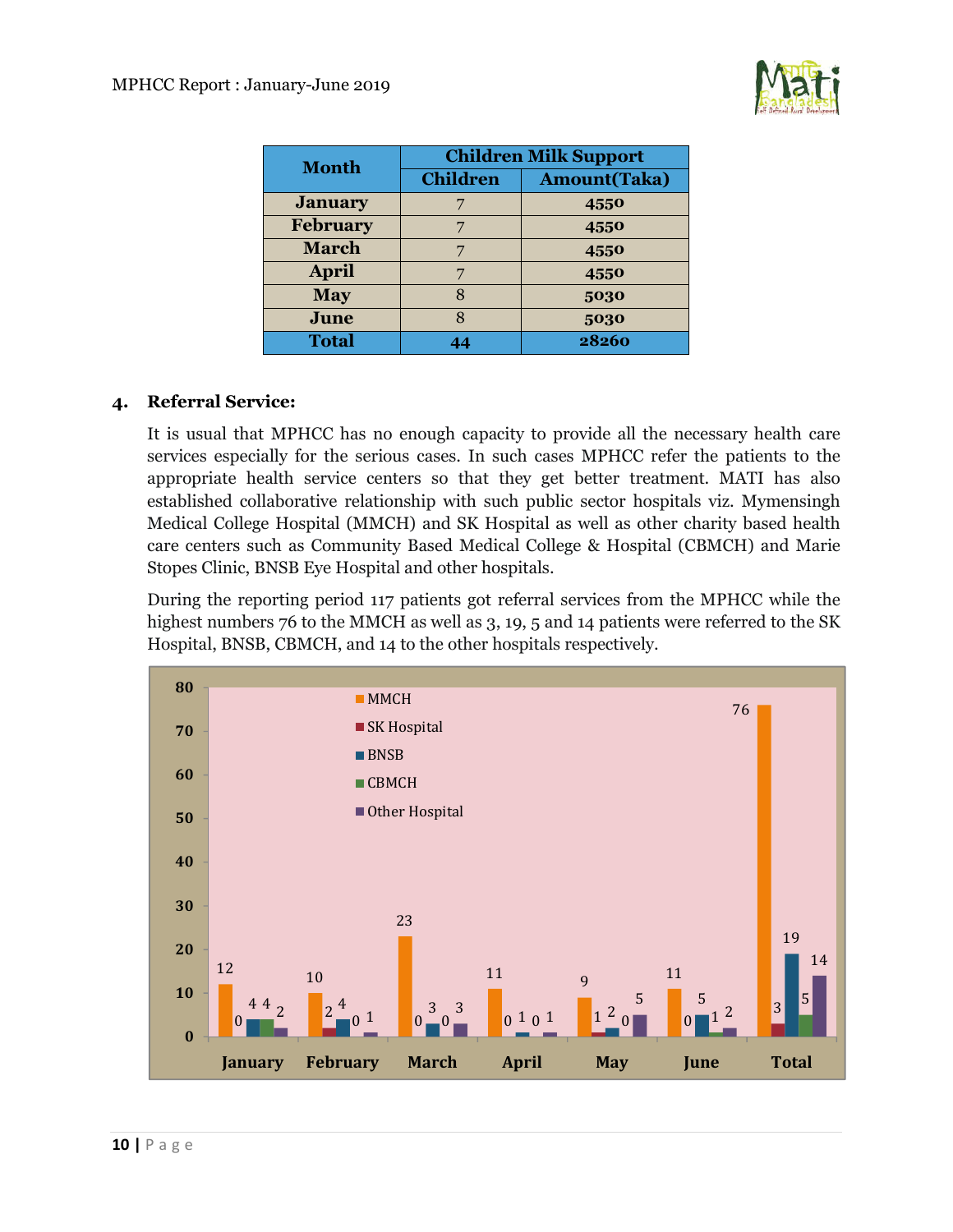

| <b>Month</b>    | <b>Children Milk Support</b> |                     |  |  |  |  |
|-----------------|------------------------------|---------------------|--|--|--|--|
|                 | <b>Children</b>              | <b>Amount(Taka)</b> |  |  |  |  |
| <b>January</b>  |                              | 4550                |  |  |  |  |
| <b>February</b> |                              | 4550                |  |  |  |  |
| <b>March</b>    |                              | 4550                |  |  |  |  |
| <b>April</b>    |                              | 4550                |  |  |  |  |
| <b>May</b>      | Ջ                            | 5030                |  |  |  |  |
| June            | 8                            | 5030                |  |  |  |  |
| <b>Total</b>    | 44                           | 28260               |  |  |  |  |

# **4. Referral Service:**

It is usual that MPHCC has no enough capacity to provide all the necessary health care services especially for the serious cases. In such cases MPHCC refer the patients to the appropriate health service centers so that they get better treatment. MATI has also established collaborative relationship with such public sector hospitals viz. Mymensingh Medical College Hospital (MMCH) and SK Hospital as well as other charity based health care centers such as Community Based Medical College & Hospital (CBMCH) and Marie Stopes Clinic, BNSB Eye Hospital and other hospitals.

During the reporting period 117 patients got referral services from the MPHCC while the highest numbers 76 to the MMCH as well as 3, 19, 5 and 14 patients were referred to the SK Hospital, BNSB, CBMCH, and 14 to the other hospitals respectively.

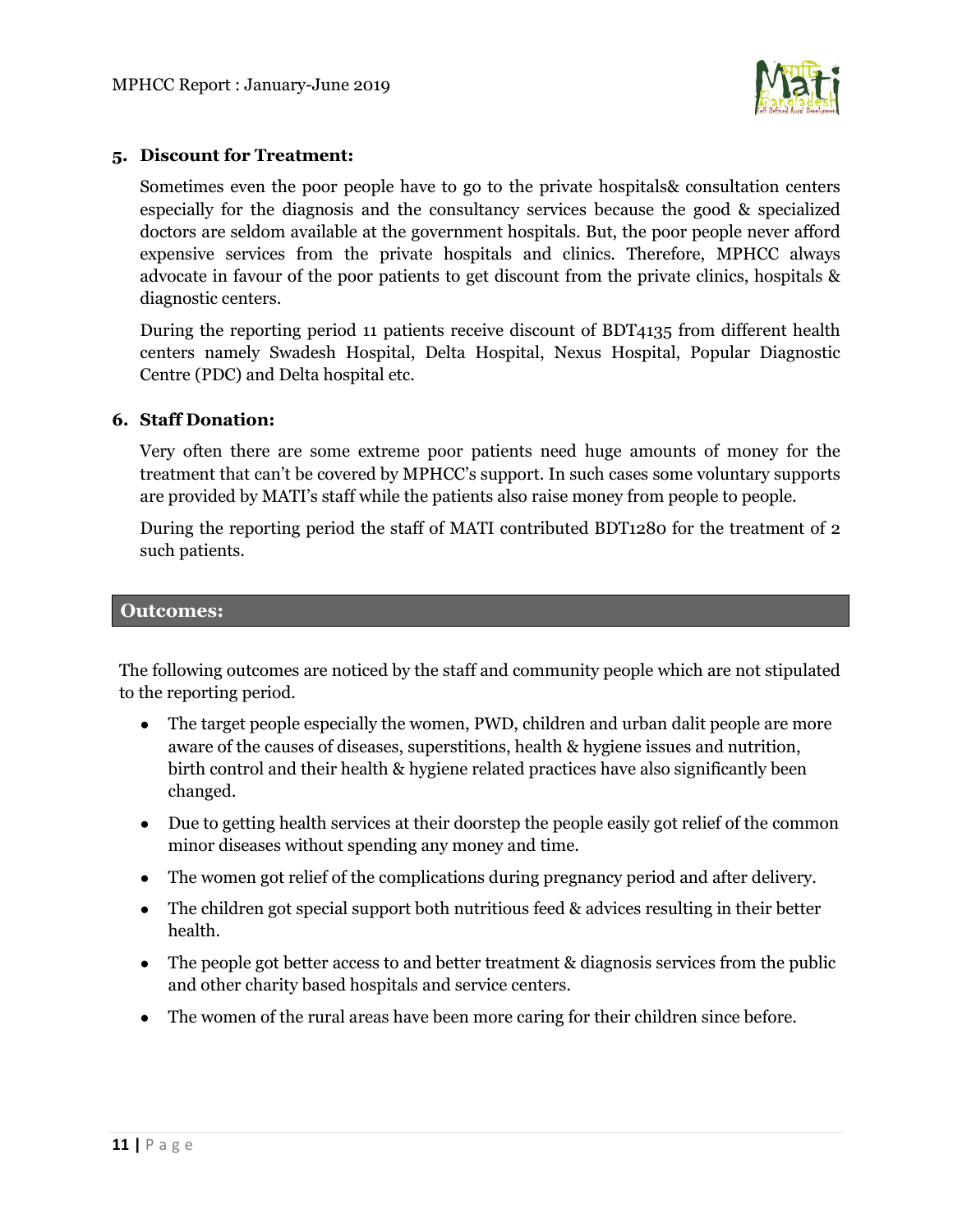

# **5. Discount for Treatment:**

Sometimes even the poor people have to go to the private hospitals& consultation centers especially for the diagnosis and the consultancy services because the good & specialized doctors are seldom available at the government hospitals. But, the poor people never afford expensive services from the private hospitals and clinics. Therefore, MPHCC always advocate in favour of the poor patients to get discount from the private clinics, hospitals & diagnostic centers.

During the reporting period 11 patients receive discount of BDT4135 from different health centers namely Swadesh Hospital, Delta Hospital, Nexus Hospital, Popular Diagnostic Centre (PDC) and Delta hospital etc.

## **6. Staff Donation:**

Very often there are some extreme poor patients need huge amounts of money for the treatment that can't be covered by MPHCC's support. In such cases some voluntary supports are provided by MATI's staff while the patients also raise money from people to people.

During the reporting period the staff of MATI contributed BDT1280 for the treatment of 2 such patients.

#### **Outcomes:**

The following outcomes are noticed by the staff and community people which are not stipulated to the reporting period.

- The target people especially the women, PWD, children and urban dalit people are more aware of the causes of diseases, superstitions, health & hygiene issues and nutrition, birth control and their health & hygiene related practices have also significantly been changed.
- Due to getting health services at their doorstep the people easily got relief of the common minor diseases without spending any money and time.
- The women got relief of the complications during pregnancy period and after delivery.
- The children got special support both nutritious feed & advices resulting in their better health.
- The people got better access to and better treatment & diagnosis services from the public and other charity based hospitals and service centers.
- The women of the rural areas have been more caring for their children since before.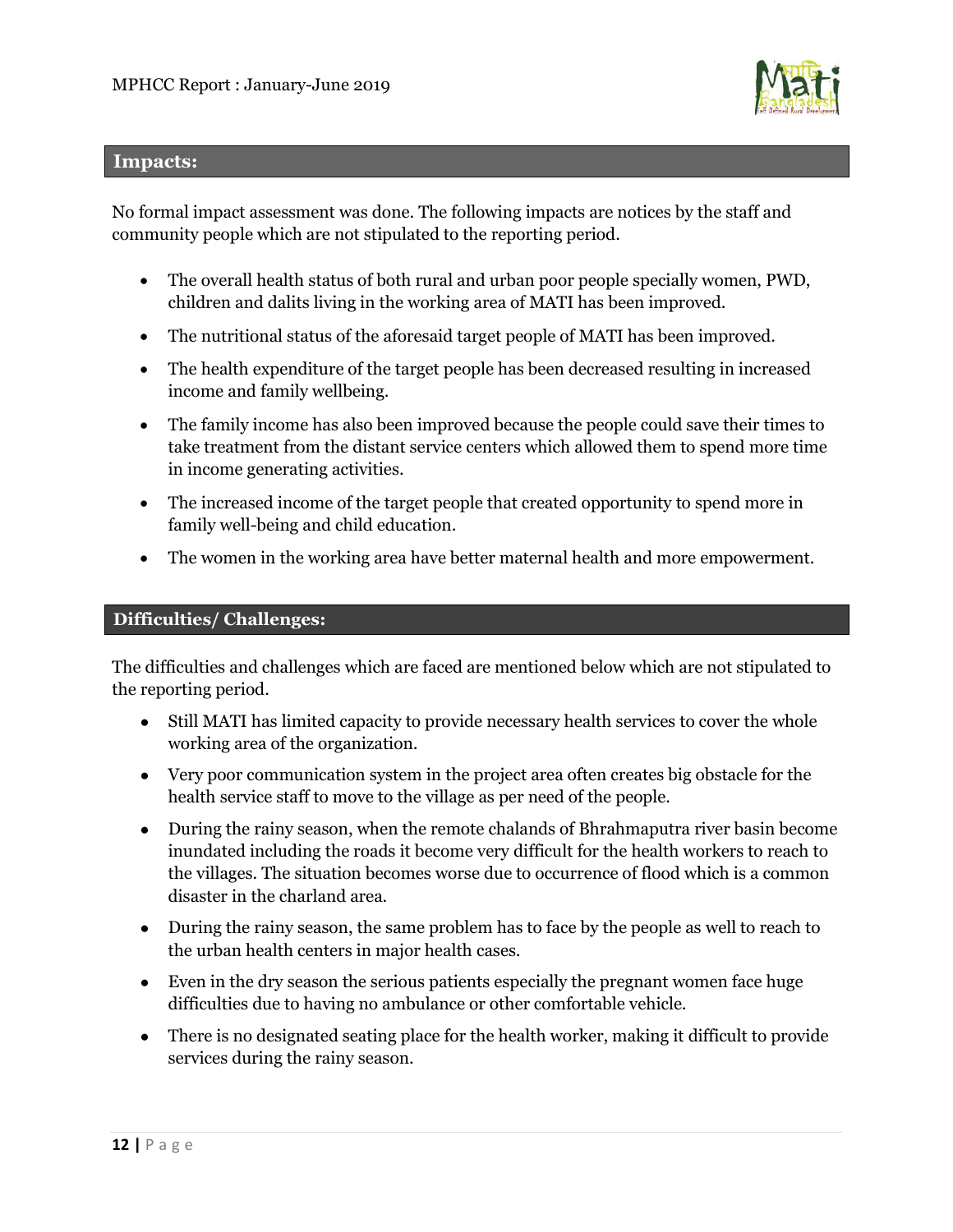

#### **Impacts:**

No formal impact assessment was done. The following impacts are notices by the staff and community people which are not stipulated to the reporting period.

- The overall health status of both rural and urban poor people specially women, PWD, children and dalits living in the working area of MATI has been improved.
- The nutritional status of the aforesaid target people of MATI has been improved.
- The health expenditure of the target people has been decreased resulting in increased income and family wellbeing.
- The family income has also been improved because the people could save their times to take treatment from the distant service centers which allowed them to spend more time in income generating activities.
- The increased income of the target people that created opportunity to spend more in family well-being and child education.
- The women in the working area have better maternal health and more empowerment.

## **Difficulties/ Challenges:**

The difficulties and challenges which are faced are mentioned below which are not stipulated to the reporting period.

- Still MATI has limited capacity to provide necessary health services to cover the whole working area of the organization.
- Very poor communication system in the project area often creates big obstacle for the health service staff to move to the village as per need of the people.
- During the rainy season, when the remote chalands of Bhrahmaputra river basin become inundated including the roads it become very difficult for the health workers to reach to the villages. The situation becomes worse due to occurrence of flood which is a common disaster in the charland area.
- During the rainy season, the same problem has to face by the people as well to reach to the urban health centers in major health cases.
- Even in the dry season the serious patients especially the pregnant women face huge difficulties due to having no ambulance or other comfortable vehicle.
- There is no designated seating place for the health worker, making it difficult to provide services during the rainy season.